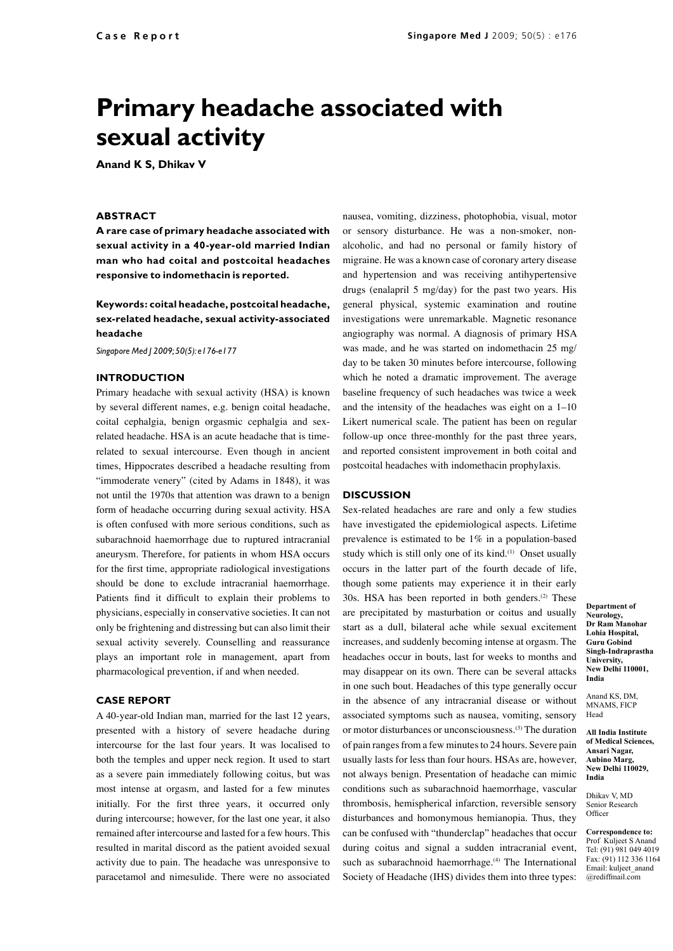# **Primary headache associated with sexual activity**

**Anand K S, Dhikav V**

## **ABSTRACT**

**A rare case of primary headache associated with sexual activity in a 40-year-old married Indian man who had coital and postcoital headaches responsive to indomethacin is reported.**

**Keywords: coital headache, postcoital headache, sex-related headache, sexual activity-associated headache**

*Singapore Med J 2009; 50(5): e176-e177*

# **Introduction**

Primary headache with sexual activity (HSA) is known by several different names, e.g. benign coital headache, coital cephalgia, benign orgasmic cephalgia and sexrelated headache. HSA is an acute headache that is timerelated to sexual intercourse. Even though in ancient times, Hippocrates described a headache resulting from "immoderate venery" (cited by Adams in 1848), it was not until the 1970s that attention was drawn to a benign form of headache occurring during sexual activity. HSA is often confused with more serious conditions, such as subarachnoid haemorrhage due to ruptured intracranial aneurysm. Therefore, for patients in whom HSA occurs for the first time, appropriate radiological investigations should be done to exclude intracranial haemorrhage. Patients find it difficult to explain their problems to physicians, especially in conservative societies. It can not only be frightening and distressing but can also limit their sexual activity severely. Counselling and reassurance plays an important role in management, apart from pharmacological prevention, if and when needed.

### **Case report**

A 40-year-old Indian man, married for the last 12 years, presented with a history of severe headache during intercourse for the last four years. It was localised to both the temples and upper neck region. It used to start as a severe pain immediately following coitus, but was most intense at orgasm, and lasted for a few minutes initially. For the first three years, it occurred only during intercourse; however, for the last one year, it also remained after intercourse and lasted for a few hours. This resulted in marital discord as the patient avoided sexual activity due to pain. The headache was unresponsive to paracetamol and nimesulide. There were no associated

nausea, vomiting, dizziness, photophobia, visual, motor or sensory disturbance. He was a non-smoker, nonalcoholic, and had no personal or family history of migraine. He was a known case of coronary artery disease and hypertension and was receiving antihypertensive drugs (enalapril 5 mg/day) for the past two years. His general physical, systemic examination and routine investigations were unremarkable. Magnetic resonance angiography was normal. A diagnosis of primary HSA was made, and he was started on indomethacin 25 mg/ day to be taken 30 minutes before intercourse, following which he noted a dramatic improvement. The average baseline frequency of such headaches was twice a week and the intensity of the headaches was eight on a 1–10 Likert numerical scale. The patient has been on regular follow-up once three-monthly for the past three years, and reported consistent improvement in both coital and postcoital headaches with indomethacin prophylaxis.

#### **Discussion**

Sex-related headaches are rare and only a few studies have investigated the epidemiological aspects. Lifetime prevalence is estimated to be 1% in a population-based study which is still only one of its kind.<sup>(1)</sup> Onset usually occurs in the latter part of the fourth decade of life, though some patients may experience it in their early 30s. HSA has been reported in both genders. $(2)$  These are precipitated by masturbation or coitus and usually start as a dull, bilateral ache while sexual excitement increases, and suddenly becoming intense at orgasm. The headaches occur in bouts, last for weeks to months and may disappear on its own. There can be several attacks in one such bout. Headaches of this type generally occur in the absence of any intracranial disease or without associated symptoms such as nausea, vomiting, sensory or motor disturbances or unconsciousness.(3) The duration of pain ranges from a few minutes to 24 hours. Severe pain usually lasts for less than four hours. HSAs are, however, not always benign. Presentation of headache can mimic conditions such as subarachnoid haemorrhage, vascular thrombosis, hemispherical infarction, reversible sensory disturbances and homonymous hemianopia. Thus, they can be confused with "thunderclap" headaches that occur during coitus and signal a sudden intracranial event, such as subarachnoid haemorrhage.<sup>(4)</sup> The International Society of Headache (IHS) divides them into three types:

**Department of Neurology, Dr Ram Manohar Lohia Hospital, Guru Gobind Singh-Indraprastha University, New Delhi 110001, India**

Anand KS, DM, MNAMS, FICP Head

**All India Institute of Medical Sciences, Ansari Nagar, Aubino Marg, New Delhi 110029, India**

Dhikav V, MD Senior Research Officer

**Correspondence to:** Prof Kuljeet S Anand Tel: (91) 981 049 4019 Fax: (91) 112 336 1164 Email: kuljeet\_anand @rediffmail.com